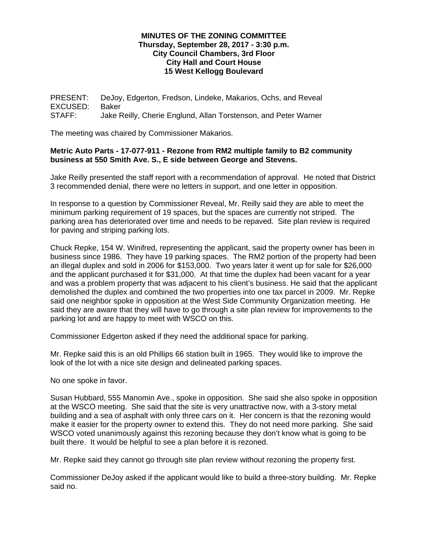## **MINUTES OF THE ZONING COMMITTEE Thursday, September 28, 2017 - 3:30 p.m. City Council Chambers, 3rd Floor City Hall and Court House 15 West Kellogg Boulevard**

PRESENT: DeJoy, Edgerton, Fredson, Lindeke, Makarios, Ochs, and Reveal EXCUSED: Baker STAFF: Jake Reilly, Cherie Englund, Allan Torstenson, and Peter Warner

The meeting was chaired by Commissioner Makarios.

## **Metric Auto Parts - 17-077-911 - Rezone from RM2 multiple family to B2 community business at 550 Smith Ave. S., E side between George and Stevens.**

Jake Reilly presented the staff report with a recommendation of approval. He noted that District 3 recommended denial, there were no letters in support, and one letter in opposition.

In response to a question by Commissioner Reveal, Mr. Reilly said they are able to meet the minimum parking requirement of 19 spaces, but the spaces are currently not striped. The parking area has deteriorated over time and needs to be repaved. Site plan review is required for paving and striping parking lots.

Chuck Repke, 154 W. Winifred, representing the applicant, said the property owner has been in business since 1986. They have 19 parking spaces. The RM2 portion of the property had been an illegal duplex and sold in 2006 for \$153,000. Two years later it went up for sale for \$26,000 and the applicant purchased it for \$31,000. At that time the duplex had been vacant for a year and was a problem property that was adjacent to his client's business. He said that the applicant demolished the duplex and combined the two properties into one tax parcel in 2009. Mr. Repke said one neighbor spoke in opposition at the West Side Community Organization meeting. He said they are aware that they will have to go through a site plan review for improvements to the parking lot and are happy to meet with WSCO on this.

Commissioner Edgerton asked if they need the additional space for parking.

Mr. Repke said this is an old Phillips 66 station built in 1965. They would like to improve the look of the lot with a nice site design and delineated parking spaces.

No one spoke in favor.

Susan Hubbard, 555 Manomin Ave., spoke in opposition. She said she also spoke in opposition at the WSCO meeting. She said that the site is very unattractive now, with a 3-story metal building and a sea of asphalt with only three cars on it. Her concern is that the rezoning would make it easier for the property owner to extend this. They do not need more parking. She said WSCO voted unanimously against this rezoning because they don't know what is going to be built there. It would be helpful to see a plan before it is rezoned.

Mr. Repke said they cannot go through site plan review without rezoning the property first.

Commissioner DeJoy asked if the applicant would like to build a three-story building. Mr. Repke said no.